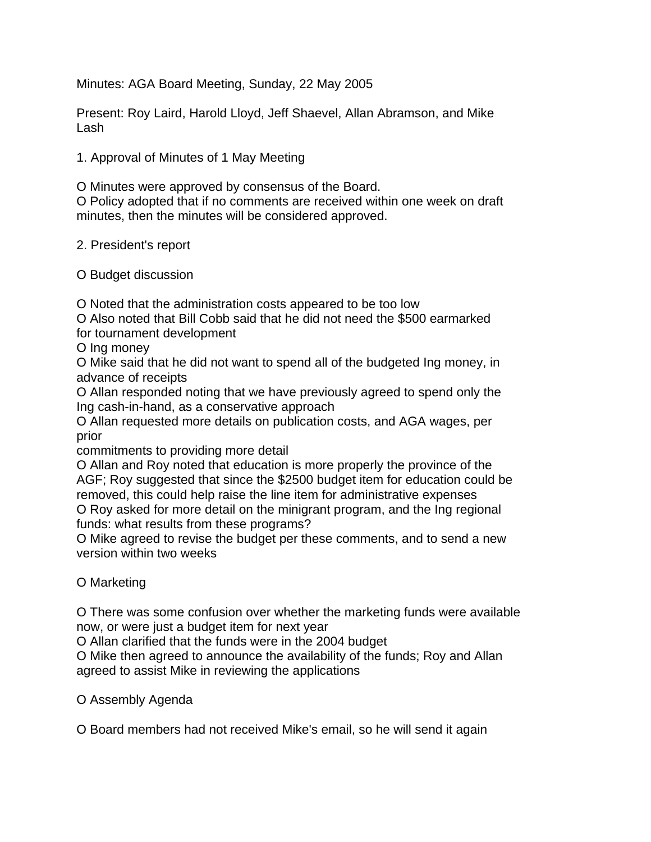Minutes: AGA Board Meeting, Sunday, 22 May 2005

Present: Roy Laird, Harold Lloyd, Jeff Shaevel, Allan Abramson, and Mike Lash

1. Approval of Minutes of 1 May Meeting

O Minutes were approved by consensus of the Board.

O Policy adopted that if no comments are received within one week on draft minutes, then the minutes will be considered approved.

2. President's report

O Budget discussion

O Noted that the administration costs appeared to be too low

O Also noted that Bill Cobb said that he did not need the \$500 earmarked for tournament development

O Ing money

O Mike said that he did not want to spend all of the budgeted Ing money, in advance of receipts

O Allan responded noting that we have previously agreed to spend only the Ing cash-in-hand, as a conservative approach

O Allan requested more details on publication costs, and AGA wages, per prior

commitments to providing more detail

O Allan and Roy noted that education is more properly the province of the AGF; Roy suggested that since the \$2500 budget item for education could be removed, this could help raise the line item for administrative expenses O Roy asked for more detail on the minigrant program, and the Ing regional funds: what results from these programs?

O Mike agreed to revise the budget per these comments, and to send a new version within two weeks

## O Marketing

O There was some confusion over whether the marketing funds were available now, or were just a budget item for next year

O Allan clarified that the funds were in the 2004 budget

O Mike then agreed to announce the availability of the funds; Roy and Allan agreed to assist Mike in reviewing the applications

O Assembly Agenda

O Board members had not received Mike's email, so he will send it again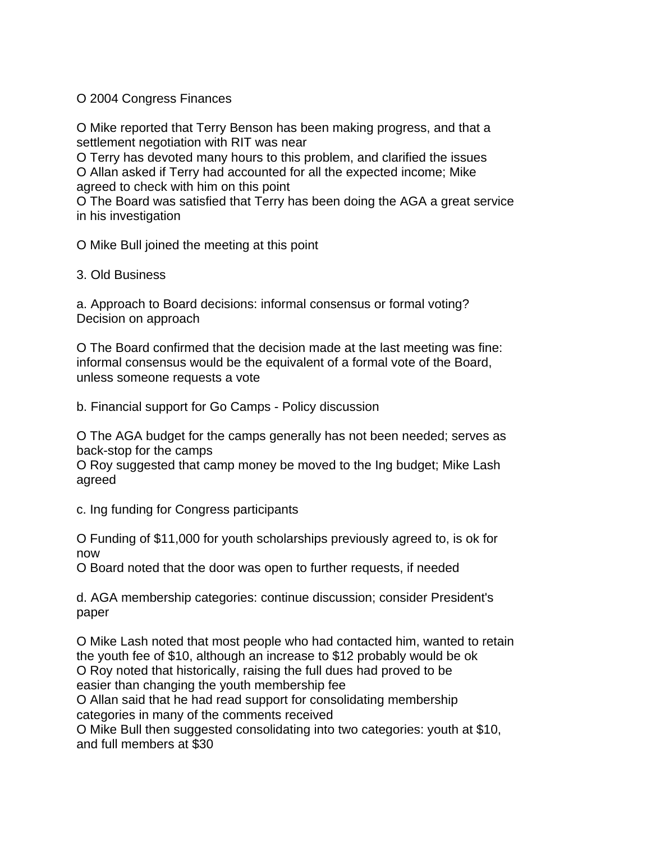O 2004 Congress Finances

O Mike reported that Terry Benson has been making progress, and that a settlement negotiation with RIT was near

O Terry has devoted many hours to this problem, and clarified the issues O Allan asked if Terry had accounted for all the expected income; Mike agreed to check with him on this point

O The Board was satisfied that Terry has been doing the AGA a great service in his investigation

O Mike Bull joined the meeting at this point

3. Old Business

a. Approach to Board decisions: informal consensus or formal voting? Decision on approach

O The Board confirmed that the decision made at the last meeting was fine: informal consensus would be the equivalent of a formal vote of the Board, unless someone requests a vote

b. Financial support for Go Camps - Policy discussion

O The AGA budget for the camps generally has not been needed; serves as back-stop for the camps

O Roy suggested that camp money be moved to the Ing budget; Mike Lash agreed

c. Ing funding for Congress participants

O Funding of \$11,000 for youth scholarships previously agreed to, is ok for now

O Board noted that the door was open to further requests, if needed

d. AGA membership categories: continue discussion; consider President's paper

O Mike Lash noted that most people who had contacted him, wanted to retain the youth fee of \$10, although an increase to \$12 probably would be ok O Roy noted that historically, raising the full dues had proved to be easier than changing the youth membership fee

O Allan said that he had read support for consolidating membership categories in many of the comments received

O Mike Bull then suggested consolidating into two categories: youth at \$10, and full members at \$30